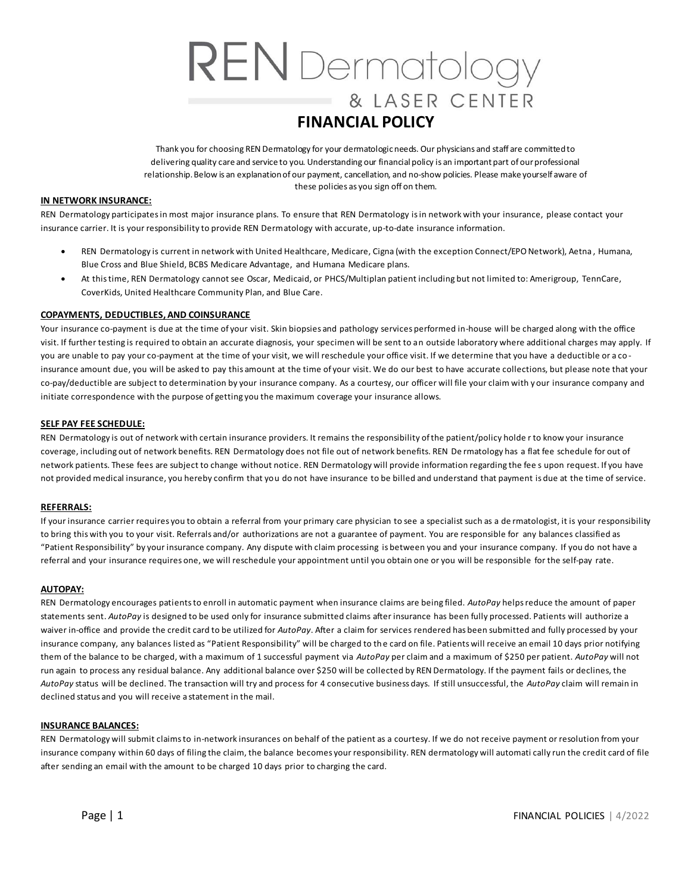# **REN** Dermatology & LASER CENTER **FINANCIAL POLICY**

 Thank you for choosing REN Dermatology for your dermatologic needs. Our physicians and staff are committedto delivering quality care and service to you. Understanding our financial policy is an important part of ourprofessional relationship. Below is an explanation of our payment, cancellation, and no-show policies. Please make yourself aware of these policies as you sign off on them.

#### **IN NETWORK INSURANCE:**

 REN Dermatology participates in most major insurance plans. To ensure that REN Dermatology is in network with your insurance, please contact your insurance carrier. It is your responsibility to provide REN Dermatology with accurate, up-to-date insurance information.

- • REN Dermatology is current in network with United Healthcare, Medicare, Cigna (with the exception Connect/EPO Network), Aetna , Humana, Blue Cross and Blue Shield, BCBS Medicare Advantage, and Humana Medicare plans.
- • At this time, REN Dermatology cannot see Oscar, Medicaid, or PHCS/Multiplan patient including but not limited to: Amerigroup, TennCare, CoverKids, United Healthcare Community Plan, and Blue Care.

# **COPAYMENTS, DEDUCTIBLES, AND COINSURANCE**

 Your insurance co-payment is due at the time of your visit. Skin biopsies and pathology services performed in-house will be charged along with the office visit. If further testing is required to obtain an accurate diagnosis, your specimen will be sent to an outside laboratory where additional charges may apply. If you are unable to pay your co-payment at the time of your visit, we will reschedule your office visit. If we determine that you have a deductible or a co - insurance amount due, you will be asked to pay this amount at the time of your visit. We do our best to have accurate collections, but please note that your co-pay/deductible are subject to determination by your insurance company. As a courtesy, our officer will file your claim with y our insurance company and initiate correspondence with the purpose of getting you the maximum coverage your insurance allows.

# **SELF PAY FEE SCHEDULE:**

 REN Dermatology is out of network with certain insurance providers. It remains the responsibility of the patient/policy holde r to know your insurance coverage, including out of network benefits. REN Dermatology does not file out of network benefits. REN De rmatology has a flat fee schedule for out of network patients. These fees are subject to change without notice. REN Dermatology will provide information regarding the fee s upon request. If you have not provided medical insurance, you hereby confirm that you do not have insurance to be billed and understand that payment is due at the time of service.

#### **REFERRALS:**

 If your insurance carrier requires you to obtain a referral from your primary care physician to see a specialist such as a de rmatologist, it is your responsibility to bring this with you to your visit. Referrals and/or authorizations are not a guarantee of payment. You are responsible for any balances classified as "Patient Responsibility" by your insurance company. Any dispute with claim processing is between you and your insurance company. If you do not have a referral and your insurance requires one, we will reschedule your appointment until you obtain one or you will be responsible for the self-pay rate.

#### **AUTOPAY:**

 REN Dermatology encourages patients to enroll in automatic payment when insurance claims are being filed. *AutoPay* helps reduce the amount of paper statements sent. *AutoPay* is designed to be used only for insurance submitted claims after insurance has been fully processed. Patients will authorize a waiver in-office and provide the credit card to be utilized for *AutoPay*. After a claim for services rendered has been submitted and fully processed by your insurance company, any balances listed as "Patient Responsibility" will be charged to the card on file. Patients will receive an email 10 days prior notifying them of the balance to be charged, with a maximum of 1 successful payment via *AutoPay* per claim and a maximum of \$250 per patient. *AutoPay* will not run again to process any residual balance. Any additional balance over \$250 will be collected by REN Dermatology. If the payment fails or declines, the *AutoPay* status will be declined. The transaction will try and process for 4 consecutive business days. If still unsuccessful, the *AutoPay* claim will remain in declined status and you will receive a statement in the mail.

#### **INSURANCE BALANCES:**

 REN Dermatology will submit claims to in-network insurances on behalf of the patient as a courtesy. If we do not receive payment or resolution from your insurance company within 60 days of filing the claim, the balance becomes your responsibility. REN dermatology will automati cally run the credit card of file after sending an email with the amount to be charged 10 days prior to charging the card.